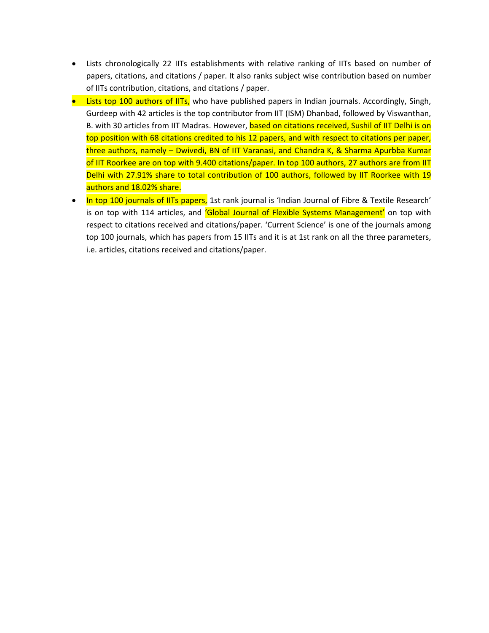- Lists chronologically 22 IITs establishments with relative ranking of IITs based on number of papers, citations, and citations / paper. It also ranks subject wise contribution based on number of IITs contribution, citations, and citations / paper.
- Lists top 100 authors of IITs, who have published papers in Indian journals. Accordingly, Singh, Gurdeep with 42 articles is the top contributor from IIT (ISM) Dhanbad, followed by Viswanthan, B. with 30 articles from IIT Madras. However, based on citations received, Sushil of IIT Delhi is on top position with 68 citations credited to his 12 papers, and with respect to citations per paper, three authors, namely – Dwivedi, BN of IIT Varanasi, and Chandra K, & Sharma Apurbba Kumar of IIT Roorkee are on top with 9.400 citations/paper. In top 100 authors, 27 authors are from IIT Delhi with 27.91% share to total contribution of 100 authors, followed by IIT Roorkee with 19 authors and 18.02% share.
- In top 100 journals of IITs papers, 1st rank journal is 'Indian Journal of Fibre & Textile Research' is on top with 114 articles, and 'Global Journal of Flexible Systems Management' on top with respect to citations received and citations/paper. 'Current Science' is one of the journals among top 100 journals, which has papers from 15 IITs and it is at 1st rank on all the three parameters, i.e. articles, citations received and citations/paper.